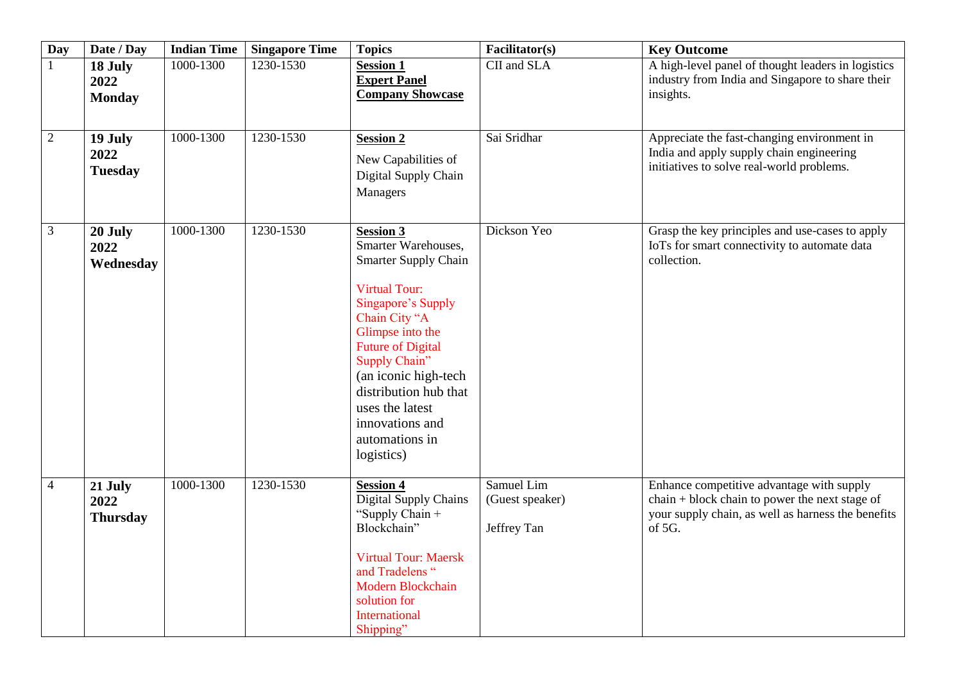| <b>Day</b>     | Date / Day                         | <b>Indian Time</b> | <b>Singapore Time</b> | <b>Topics</b>                                                                                                                                                                                                                                                                                                                 | Facilitator(s)                               | <b>Key Outcome</b>                                                                                                                                          |
|----------------|------------------------------------|--------------------|-----------------------|-------------------------------------------------------------------------------------------------------------------------------------------------------------------------------------------------------------------------------------------------------------------------------------------------------------------------------|----------------------------------------------|-------------------------------------------------------------------------------------------------------------------------------------------------------------|
| $\mathbf{1}$   | 18 July<br>2022<br><b>Monday</b>   | 1000-1300          | 1230-1530             | <b>Session 1</b><br><b>Expert Panel</b><br><b>Company Showcase</b>                                                                                                                                                                                                                                                            | CII and SLA                                  | A high-level panel of thought leaders in logistics<br>industry from India and Singapore to share their<br>insights.                                         |
| $\sqrt{2}$     | 19 July<br>2022<br><b>Tuesday</b>  | 1000-1300          | 1230-1530             | <b>Session 2</b><br>New Capabilities of<br>Digital Supply Chain<br>Managers                                                                                                                                                                                                                                                   | Sai Sridhar                                  | Appreciate the fast-changing environment in<br>India and apply supply chain engineering<br>initiatives to solve real-world problems.                        |
| 3              | 20 July<br>2022<br>Wednesday       | 1000-1300          | 1230-1530             | <b>Session 3</b><br>Smarter Warehouses,<br><b>Smarter Supply Chain</b><br><b>Virtual Tour:</b><br>Singapore's Supply<br>Chain City "A<br>Glimpse into the<br><b>Future of Digital</b><br>Supply Chain"<br>(an iconic high-tech<br>distribution hub that<br>uses the latest<br>innovations and<br>automations in<br>logistics) | Dickson Yeo                                  | Grasp the key principles and use-cases to apply<br>IoTs for smart connectivity to automate data<br>collection.                                              |
| $\overline{4}$ | 21 July<br>2022<br><b>Thursday</b> | 1000-1300          | 1230-1530             | <b>Session 4</b><br>Digital Supply Chains<br>"Supply Chain +<br>Blockchain"<br><b>Virtual Tour: Maersk</b><br>and Tradelens "<br><b>Modern Blockchain</b><br>solution for<br>International<br>Shipping"                                                                                                                       | Samuel Lim<br>(Guest speaker)<br>Jeffrey Tan | Enhance competitive advantage with supply<br>chain + block chain to power the next stage of<br>your supply chain, as well as harness the benefits<br>of 5G. |